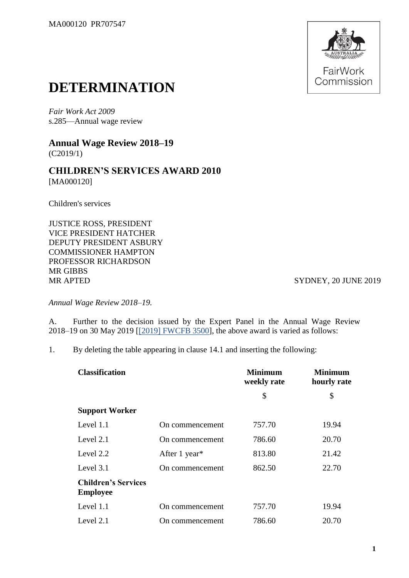

## **DETERMINATION**

*Fair Work Act 2009*  s.285—Annual wage review

**Annual Wage Review 2018–19** (C2019/1)

**CHILDREN'S SERVICES AWARD 2010** [MA000120]

Children's services

JUSTICE ROSS, PRESIDENT VICE PRESIDENT HATCHER DEPUTY PRESIDENT ASBURY COMMISSIONER HAMPTON PROFESSOR RICHARDSON MR GIBBS MR APTED SYDNEY, 20 JUNE 2019

*Annual Wage Review 2018–19.*

A. Further to the decision issued by the Expert Panel in the Annual Wage Review 2018–19 on 30 May 2019 [\[\[2019\] FWCFB 3500\]](https://www.fwc.gov.au/documents/decisionssigned/html/2019fwcfb3500.htm), the above award is varied as follows:

1. By deleting the table appearing in clause 14.1 and inserting the following:

| <b>Classification</b>                         |                 | <b>Minimum</b><br>weekly rate | <b>Minimum</b><br>hourly rate |
|-----------------------------------------------|-----------------|-------------------------------|-------------------------------|
|                                               |                 | \$                            | \$                            |
| <b>Support Worker</b>                         |                 |                               |                               |
| Level 1.1                                     | On commencement | 757.70                        | 19.94                         |
| Level 2.1                                     | On commencement | 786.60                        | 20.70                         |
| Level 2.2                                     | After 1 year*   | 813.80                        | 21.42                         |
| Level 3.1                                     | On commencement | 862.50                        | 22.70                         |
| <b>Children's Services</b><br><b>Employee</b> |                 |                               |                               |
| Level 1.1                                     | On commencement | 757.70                        | 19.94                         |
| Level $2.1$                                   | On commencement | 786.60                        | 20.70                         |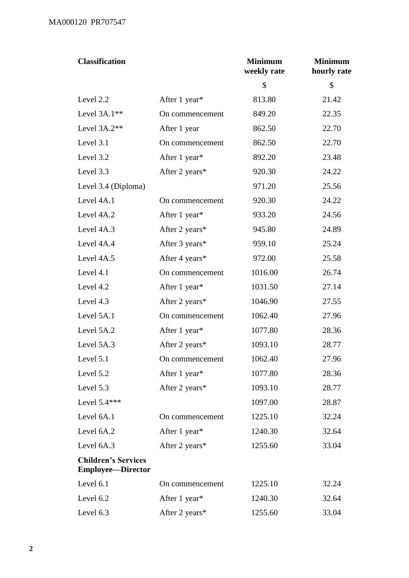| <b>Classification</b>                                  |                 | <b>Minimum</b><br>weekly rate | <b>Minimum</b><br>hourly rate |
|--------------------------------------------------------|-----------------|-------------------------------|-------------------------------|
|                                                        |                 | \$                            | \$                            |
| Level 2.2                                              | After 1 year*   | 813.80                        | 21.42                         |
| Level $3A.1**$                                         | On commencement | 849.20                        | 22.35                         |
| Level 3A.2**                                           | After 1 year    | 862.50                        | 22.70                         |
| Level 3.1                                              | On commencement | 862.50                        | 22.70                         |
| Level 3.2                                              | After 1 year*   | 892.20                        | 23.48                         |
| Level 3.3                                              | After 2 years*  | 920.30                        | 24.22                         |
| Level 3.4 (Diploma)                                    |                 | 971.20                        | 25.56                         |
| Level 4A.1                                             | On commencement | 920.30                        | 24.22                         |
| Level 4A.2                                             | After 1 year*   | 933.20                        | 24.56                         |
| Level 4A.3                                             | After 2 years*  | 945.80                        | 24.89                         |
| Level 4A.4                                             | After 3 years*  | 959.10                        | 25.24                         |
| Level 4A.5                                             | After 4 years*  | 972.00                        | 25.58                         |
| Level 4.1                                              | On commencement | 1016.00                       | 26.74                         |
| Level 4.2                                              | After 1 year*   | 1031.50                       | 27.14                         |
| Level 4.3                                              | After 2 years*  | 1046.90                       | 27.55                         |
| Level 5A.1                                             | On commencement | 1062.40                       | 27.96                         |
| Level 5A.2                                             | After 1 year*   | 1077.80                       | 28.36                         |
| Level 5A.3                                             | After 2 years*  | 1093.10                       | 28.77                         |
| Level 5.1                                              | On commencement | 1062.40                       | 27.96                         |
| Level 5.2                                              | After 1 year*   | 1077.80                       | 28.36                         |
| Level 5.3                                              | After 2 years*  | 1093.10                       | 28.77                         |
| Level $5.4***$                                         |                 | 1097.00                       | 28.87                         |
| Level 6A.1                                             | On commencement | 1225.10                       | 32.24                         |
| Level 6A.2                                             | After 1 year*   | 1240.30                       | 32.64                         |
| Level 6A.3                                             | After 2 years*  | 1255.60                       | 33.04                         |
| <b>Children's Services</b><br><b>Employee—Director</b> |                 |                               |                               |
| Level 6.1                                              | On commencement | 1225.10                       | 32.24                         |
| Level 6.2                                              | After 1 year*   | 1240.30                       | 32.64                         |
| Level 6.3                                              | After 2 years*  | 1255.60                       | 33.04                         |